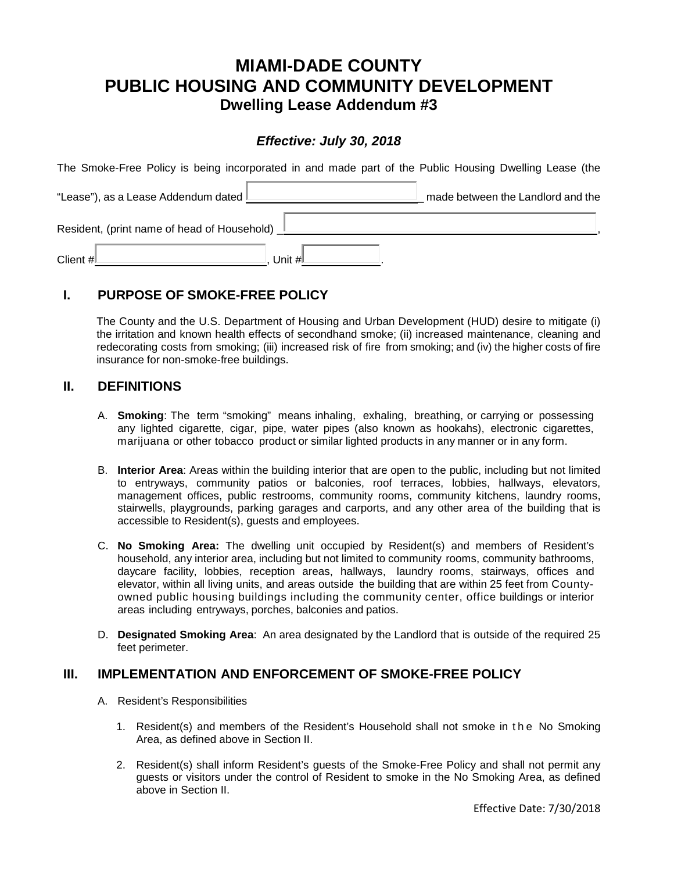# **MIAMI-DADE COUNTY PUBLIC HOUSING AND COMMUNITY DEVELOPMENT Dwelling Lease Addendum #3**

## *Effective: July 30, 2018*

The Smoke-Free Policy is being incorporated in and made part of the Public Housing Dwelling Lease (the

| "Lease"), as a Lease Addendum dated L       | made between the Landlord and the |
|---------------------------------------------|-----------------------------------|
| Resident, (print name of head of Household) |                                   |
| Unit #L<br>Client #L                        |                                   |

## **I. PURPOSE OF SMOKE-FREE POLICY**

The County and the U.S. Department of Housing and Urban Development (HUD) desire to mitigate (i) the irritation and known health effects of secondhand smoke; (ii) increased maintenance, cleaning and redecorating costs from smoking; (iii) increased risk of fire from smoking; and (iv) the higher costs of fire insurance for non-smoke-free buildings.

#### **II. DEFINITIONS**

- A. **Smoking**: The term "smoking" means inhaling, exhaling, breathing, or carrying or possessing any lighted cigarette, cigar, pipe, water pipes (also known as hookahs), electronic cigarettes, marijuana or other tobacco product or similar lighted products in any manner or in any form.
- B. **Interior Area**: Areas within the building interior that are open to the public, including but not limited to entryways, community patios or balconies, roof terraces, lobbies, hallways, elevators, management offices, public restrooms, community rooms, community kitchens, laundry rooms, stairwells, playgrounds, parking garages and carports, and any other area of the building that is accessible to Resident(s), guests and employees.
- C. **No Smoking Area:** The dwelling unit occupied by Resident(s) and members of Resident's household, any interior area, including but not limited to community rooms, community bathrooms, daycare facility, lobbies, reception areas, hallways, laundry rooms, stairways, offices and elevator, within all living units, and areas outside the building that are within 25 feet from Countyowned public housing buildings including the community center, office buildings or interior areas including entryways, porches, balconies and patios.
- D. **Designated Smoking Area**: An area designated by the Landlord that is outside of the required 25 feet perimeter.

#### **III. IMPLEMENTATION AND ENFORCEMENT OF SMOKE-FREE POLICY**

- A. Resident's Responsibilities
	- 1. Resident(s) and members of the Resident's Household shall not smoke in the No Smoking Area, as defined above in Section II.
	- 2. Resident(s) shall inform Resident's guests of the Smoke-Free Policy and shall not permit any guests or visitors under the control of Resident to smoke in the No Smoking Area, as defined above in Section II.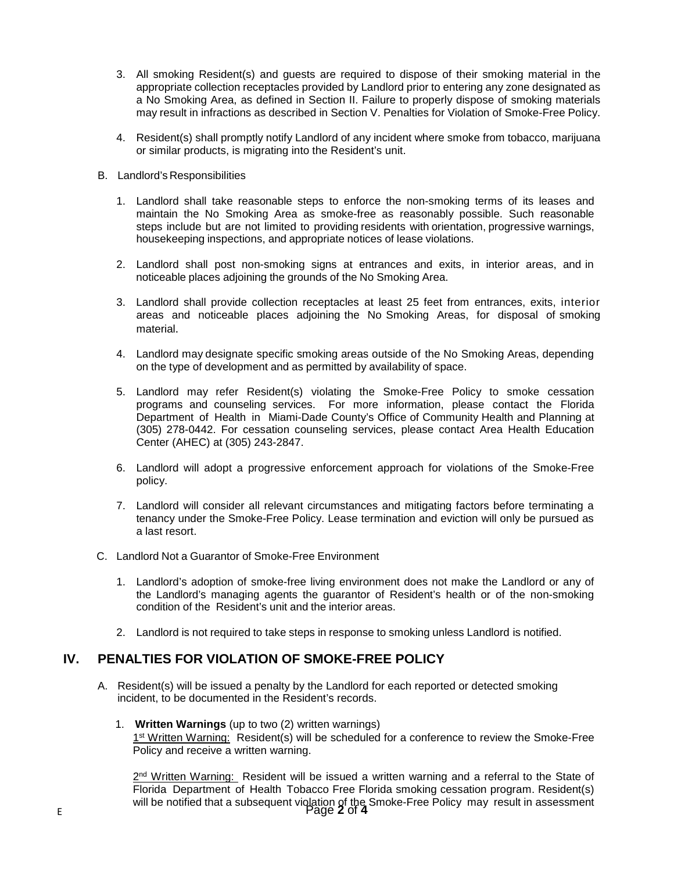- 3. All smoking Resident(s) and guests are required to dispose of their smoking material in the appropriate collection receptacles provided by Landlord prior to entering any zone designated as a No Smoking Area, as defined in Section II. Failure to properly dispose of smoking materials may result in infractions as described in Section V. Penalties for Violation of Smoke-Free Policy.
- 4. Resident(s) shall promptly notify Landlord of any incident where smoke from tobacco, marijuana or similar products, is migrating into the Resident's unit.
- B. Landlord's Responsibilities
	- 1. Landlord shall take reasonable steps to enforce the non-smoking terms of its leases and maintain the No Smoking Area as smoke-free as reasonably possible. Such reasonable steps include but are not limited to providing residents with orientation, progressive warnings, housekeeping inspections, and appropriate notices of lease violations.
	- 2. Landlord shall post non-smoking signs at entrances and exits, in interior areas, and in noticeable places adjoining the grounds of the No Smoking Area.
	- 3. Landlord shall provide collection receptacles at least 25 feet from entrances, exits, interior areas and noticeable places adjoining the No Smoking Areas, for disposal of smoking material.
	- 4. Landlord may designate specific smoking areas outside of the No Smoking Areas, depending on the type of development and as permitted by availability of space.
	- 5. Landlord may refer Resident(s) violating the Smoke-Free Policy to smoke cessation programs and counseling services. For more information, please contact the Florida Department of Health in Miami-Dade County's Office of Community Health and Planning at (305) 278-0442. For cessation counseling services, please contact Area Health Education Center (AHEC) at (305) 243-2847.
	- 6. Landlord will adopt a progressive enforcement approach for violations of the Smoke-Free policy.
	- 7. Landlord will consider all relevant circumstances and mitigating factors before terminating a tenancy under the Smoke-Free Policy. Lease termination and eviction will only be pursued as a last resort.
- C. Landlord Not a Guarantor of Smoke-Free Environment
	- 1. Landlord's adoption of smoke-free living environment does not make the Landlord or any of the Landlord's managing agents the guarantor of Resident's health or of the non-smoking condition of the Resident's unit and the interior areas.
	- 2. Landlord is not required to take steps in response to smoking unless Landlord is notified.

### **IV. PENALTIES FOR VIOLATION OF SMOKE-FREE POLICY**

- A. Resident(s) will be issued a penalty by the Landlord for each reported or detected smoking incident, to be documented in the Resident's records.
	- 1. **Written Warnings** (up to two (2) written warnings) 1st Written Warning: Resident(s) will be scheduled for a conference to review the Smoke-Free Policy and receive a written warning.

will be notified that a subsequent violation of the Smoke-Free Policy may result in assessment<br>E 2<sup>nd</sup> Written Warning: Resident will be issued a written warning and a referral to the State of Florida Department of Health Tobacco Free Florida smoking cessation program. Resident(s)